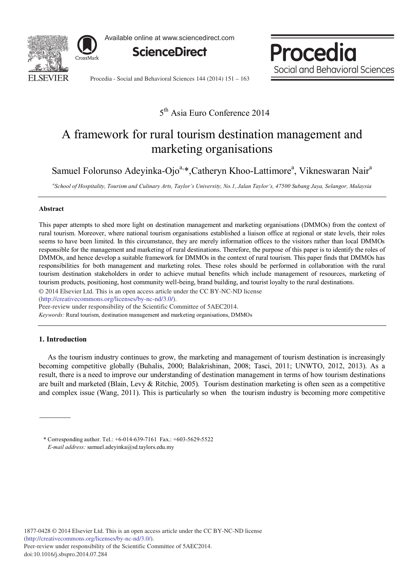

Available online at www.sciencedirect.com



Procedia Social and Behavioral Sciences

Procedia - Social and Behavioral Sciences 144 (2014) 151 - 163

### 5<sup>th</sup> Asia Euro Conference 2014

# A framework for rural tourism destination management and marketing organisations

Samuel Folorunso Adeyinka-Ojo<sup>a,\*</sup>,Catheryn Khoo-Lattimore<sup>a</sup>, Vikneswaran Nair<sup>a</sup>

*a School of Hospitality, Tourism and Culinary Arts, Taylor's University, No.1, Jalan Taylor's, 47500 Subang Jaya, Selangor, Malaysia*

### **Abstract**

This paper attempts to shed more light on destination management and marketing organisations (DMMOs) from the context of rural tourism. Moreover, where national tourism organisations established a liaison office at regional or state levels, their roles seems to have been limited. In this circumstance, they are merely information offices to the visitors rather than local DMMOs responsible for the management and marketing of rural destinations. Therefore, the purpose of this paper is to identify the roles of DMMOs, and hence develop a suitable framework for DMMOs in the context of rural tourism. This paper finds that DMMOs has responsibilities for both management and marketing roles. These roles should be performed in collaboration with the rural tourism destination stakeholders in order to achieve mutual benefits which include management of resources, marketing of tourism products, positioning, host community well-being, brand building, and tourist loyalty to the rural destinations.

© 2014 Elsevier Ltd. This is an open access article under the CC BY-NC-ND license

(http://creativecommons.org/licenses/by-nc-nd/3.0/).

Peer-review under responsibility of the Scientific Committee of 5AEC2014.

*Keywords:* Rural tourism, destination management and marketing organisations, DMMOs

#### **1. Introduction**

As the tourism industry continues to grow, the marketing and management of tourism destination is increasingly becoming competitive globally (Buhalis, 2000; Balakrishinan, 2008; Tasci, 2011; UNWTO, 2012, 2013). As a result, there is a need to improve our understanding of destination management in terms of how tourism destinations are built and marketed (Blain, Levy & Ritchie, 2005). Tourism destination marketing is often seen as a competitive and complex issue (Wang, 2011). This is particularly so when the tourism industry is becoming more competitive

<sup>\*</sup> Corresponding author. Tel.: +6-014-639-7161 Fax.: +603-5629-5522 *E-mail address:* samuel.adeyinka@sd.taylors.edu.my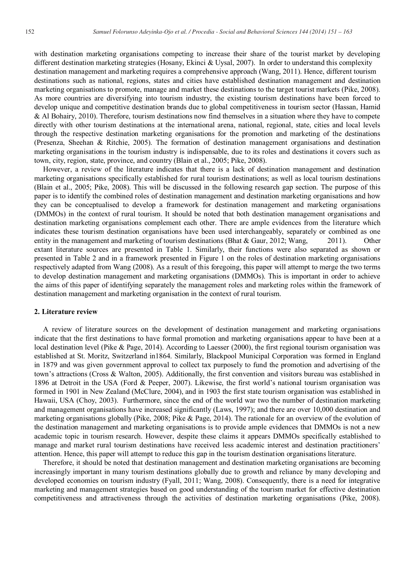with destination marketing organisations competing to increase their share of the tourist market by developing different destination marketing strategies (Hosany, Ekinci & Uysal, 2007). In order to understand this complexity destination management and marketing requires a comprehensive approach (Wang, 2011). Hence, different tourism destinations such as national, regions, states and cities have established destination management and destination marketing organisations to promote, manage and market these destinations to the target tourist markets (Pike, 2008). As more countries are diversifying into tourism industry, the existing tourism destinations have been forced to develop unique and competitive destination brands due to global competitiveness in tourism sector (Hassan, Hamid & Al Bohairy, 2010). Therefore, tourism destinations now find themselves in a situation where they have to compete directly with other tourism destinations at the international arena, national, regional, state, cities and local levels through the respective destination marketing organisations for the promotion and marketing of the destinations (Presenza, Sheehan & Ritchie, 2005). The formation of destination management organisations and destination marketing organisations in the tourism industry is indispensable, due to its roles and destinations it covers such as town, city, region, state, province, and country (Blain et al., 2005; Pike, 2008).

However, a review of the literature indicates that there is a lack of destination management and destination marketing organisations specifically established for rural tourism destinations; as well as local tourism destinations (Blain et al., 2005; Pike, 2008). This will be discussed in the following research gap section. The purpose of this paper is to identify the combined roles of destination management and destination marketing organisations and how they can be conceptualised to develop a framework for destination management and marketing organisations (DMMOs) in the context of rural tourism. It should be noted that both destination management organisations and destination marketing organisations complement each other. There are ample evidences from the literature which indicates these tourism destination organisations have been used interchangeably, separately or combined as one entity in the management and marketing of tourism destinations (Bhat & Gaur, 2012; Wang, 2011). Other extant literature sources are presented in Table 1. Similarly, their functions were also separated as shown or presented in Table 2 and in a framework presented in Figure 1 on the roles of destination marketing organisations respectively adapted from Wang (2008). As a result of this foregoing, this paper will attempt to merge the two terms to develop destination management and marketing organisations (DMMOs). This is important in order to achieve the aims of this paper of identifying separately the management roles and marketing roles within the framework of destination management and marketing organisation in the context of rural tourism.

#### **2. Literature review**

A review of literature sources on the development of destination management and marketing organisations indicate that the first destinations to have formal promotion and marketing organisations appear to have been at a local destination level (Pike & Page, 2014). According to Laesser (2000), the first regional tourism organisation was established at St. Moritz, Switzerland in1864. Similarly, Blackpool Municipal Corporation was formed in England in 1879 and was given government approval to collect tax purposely to fund the promotion and advertising of the town's attractions (Cross & Walton, 2005). Additionally, the first convention and visitors bureau was established in 1896 at Detroit in the USA (Ford & Peeper, 2007). Likewise, the first world's national tourism organisation was formed in 1901 in New Zealand (McClure, 2004), and in 1903 the first state tourism organisation was established in Hawaii, USA (Choy, 2003). Furthermore, since the end of the world war two the number of destination marketing and management organisations have increased significantly (Laws, 1997); and there are over 10,000 destination and marketing organisations globally (Pike, 2008; Pike & Page, 2014). The rationale for an overview of the evolution of the destination management and marketing organisations is to provide ample evidences that DMMOs is not a new academic topic in tourism research. However, despite these claims it appears DMMOs specifically established to manage and market rural tourism destinations have received less academic interest and destination practitioners' attention. Hence, this paper will attempt to reduce this gap in the tourism destination organisations literature.

Therefore, it should be noted that destination management and destination marketing organisations are becoming increasingly important in many tourism destinations globally due to growth and reliance by many developing and developed economies on tourism industry (Fyall, 2011; Wang, 2008). Consequently, there is a need for integrative marketing and management strategies based on good understanding of the tourism market for effective destination competitiveness and attractiveness through the activities of destination marketing organisations (Pike, 2008).